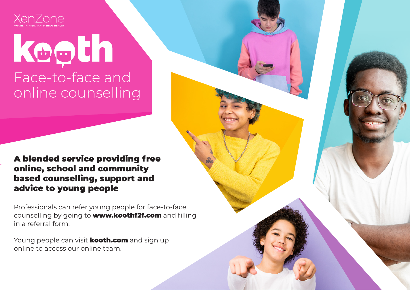

## koọth Face-to-face and online counselling

## A blended service providing free online, school and community based counselling, support and advice to young people

Professionals can refer young people for face-to-face counselling by going to **www.koothf2f.com** and filling in a referral form.

Young people can visit **kooth.com** and sign up online to access our online team.